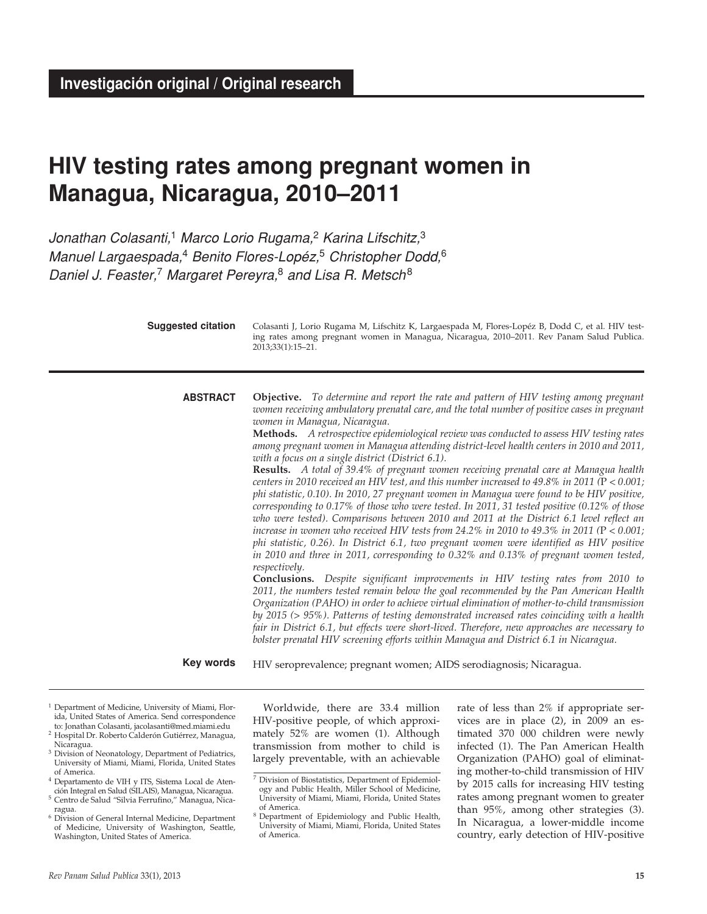# **HIV testing rates among pregnant women in Managua, Nicaragua, 2010–2011**

*Jonathan Colasanti,*1 *Marco Lorio Rugama,*2 *Karina Lifschitz,*<sup>3</sup> *Manuel Largaespada,*4 *Benito Flores-Lopéz,*5 *Christopher Dodd,*<sup>6</sup> *Daniel J. Feaster,*7 *Margaret Pereyra,*8 *and Lisa R. Metsch*<sup>8</sup>

| <b>Suggested citation</b> | Colasanti J, Lorio Rugama M, Lifschitz K, Largaespada M, Flores-Lopéz B, Dodd C, et al. HIV test-<br>ing rates among pregnant women in Managua, Nicaragua, 2010-2011. Rev Panam Salud Publica.<br>2013;33(1):15-21.                                                                                                                                                                                                                                                                                                                                                                                                                                                                                                                                                                                                                                                                                                                                                                                                                                                                                                                                                                                                                                                                                                                                                                                                                                                                                                                                                                                                                                                                                                                                                                                                                                |
|---------------------------|----------------------------------------------------------------------------------------------------------------------------------------------------------------------------------------------------------------------------------------------------------------------------------------------------------------------------------------------------------------------------------------------------------------------------------------------------------------------------------------------------------------------------------------------------------------------------------------------------------------------------------------------------------------------------------------------------------------------------------------------------------------------------------------------------------------------------------------------------------------------------------------------------------------------------------------------------------------------------------------------------------------------------------------------------------------------------------------------------------------------------------------------------------------------------------------------------------------------------------------------------------------------------------------------------------------------------------------------------------------------------------------------------------------------------------------------------------------------------------------------------------------------------------------------------------------------------------------------------------------------------------------------------------------------------------------------------------------------------------------------------------------------------------------------------------------------------------------------------|
| <b>ABSTRACT</b>           | <b>Objective.</b> To determine and report the rate and pattern of HIV testing among pregnant<br>women receiving ambulatory prenatal care, and the total number of positive cases in pregnant<br>women in Managua, Nicaragua.<br>Methods. A retrospective epidemiological review was conducted to assess HIV testing rates<br>among pregnant women in Managua attending district-level health centers in 2010 and 2011,<br>with a focus on a single district (District 6.1).<br>Results. A total of 39.4% of pregnant women receiving prenatal care at Managua health<br>centers in 2010 received an HIV test, and this number increased to $49.8\%$ in 2011 (P < 0.001;<br>phi statistic, 0.10). In 2010, 27 pregnant women in Managua were found to be HIV positive,<br>corresponding to 0.17% of those who were tested. In 2011, 31 tested positive (0.12% of those<br>who were tested). Comparisons between 2010 and 2011 at the District 6.1 level reflect an<br>increase in women who received HIV tests from 24.2% in 2010 to 49.3% in 2011 ( $P < 0.001$ )<br>phi statistic, 0.26). In District 6.1, two pregnant women were identified as HIV positive<br>in 2010 and three in 2011, corresponding to 0.32% and 0.13% of pregnant women tested,<br>respectively.<br>Conclusions. Despite significant improvements in HIV testing rates from 2010 to<br>2011, the numbers tested remain below the goal recommended by the Pan American Health<br>Organization (PAHO) in order to achieve virtual elimination of mother-to-child transmission<br>by $2015$ ( $> 95\%$ ). Patterns of testing demonstrated increased rates coinciding with a health<br>fair in District 6.1, but effects were short-lived. Therefore, new approaches are necessary to<br>bolster prenatal HIV screening efforts within Managua and District 6.1 in Nicaragua. |
| Key words                 | HIV seroprevalence; pregnant women; AIDS serodiagnosis; Nicaragua.                                                                                                                                                                                                                                                                                                                                                                                                                                                                                                                                                                                                                                                                                                                                                                                                                                                                                                                                                                                                                                                                                                                                                                                                                                                                                                                                                                                                                                                                                                                                                                                                                                                                                                                                                                                 |

- 1 Department of Medicine, University of Miami, Florida, United States of America. Send correspondence to: Jonathan Colasanti, jacolasanti@med.miami.edu
- 2 Hospital Dr. Roberto Calderón Gutiérrez, Managua, Nicaragua.
- <sup>3</sup> Division of Neonatology, Department of Pediatrics, University of Miami, Miami, Florida, United States of America.
- 4 Departamento de VIH y ITS, Sistema Local de Atención Integral en Salud (SILAIS), Managua, Nicaragua. 5 Centro de Salud "Silvia Ferrufino," Managua, Nica-
- ragua.
- 6 Division of General Internal Medicine, Department of Medicine, University of Washington, Seattle, Washington, United States of America.

Worldwide, there are 33.4 million HIV-positive people, of which approximately 52% are women (1). Although transmission from mother to child is largely preventable, with an achievable

rate of less than 2% if appropriate services are in place (2), in 2009 an estimated 370 000 children were newly infected (1). The Pan American Health Organization (PAHO) goal of eliminating mother-to-child transmission of HIV by 2015 calls for increasing HIV testing rates among pregnant women to greater than 95%, among other strategies (3). In Nicaragua, a lower-middle income country, early detection of HIV-positive

<sup>7</sup> Division of Biostatistics, Department of Epidemiology and Public Health, Miller School of Medicine, University of Miami, Miami, Florida, United States of America.

<sup>8</sup> Department of Epidemiology and Public Health, University of Miami, Miami, Florida, United States of America.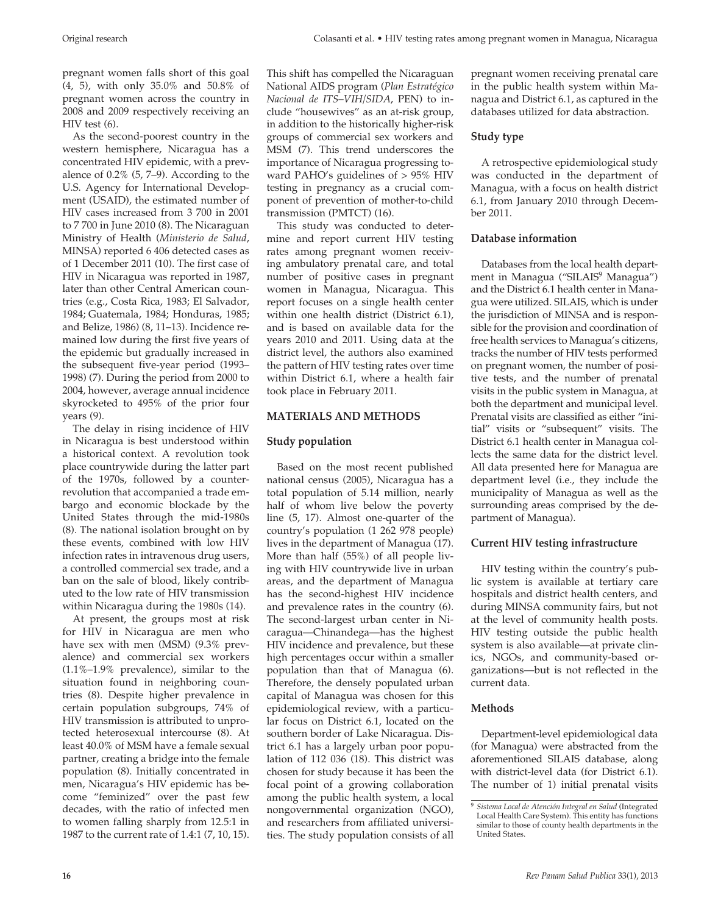pregnant women falls short of this goal (4, 5), with only 35.0% and 50.8% of pregnant women across the country in 2008 and 2009 respectively receiving an HIV test (6).

As the second-poorest country in the western hemisphere, Nicaragua has a concentrated HIV epidemic, with a prevalence of 0.2% (5, 7–9). According to the U.S. Agency for International Development (USAID), the estimated number of HIV cases increased from 3 700 in 2001 to 7 700 in June 2010 (8). The Nicaraguan Ministry of Health (*Ministerio de Salud*, MINSA) reported 6 406 detected cases as of 1 December 2011 (10). The first case of HIV in Nicaragua was reported in 1987, later than other Central American countries (e.g., Costa Rica, 1983; El Salvador, 1984; Guatemala, 1984; Honduras, 1985; and Belize, 1986) (8, 11–13). Incidence remained low during the first five years of the epidemic but gradually increased in the subsequent five-year period (1993– 1998) (7). During the period from 2000 to 2004, however, average annual incidence skyrocketed to 495% of the prior four years (9).

The delay in rising incidence of HIV in Nicaragua is best understood within a historical context. A revolution took place countrywide during the latter part of the 1970s, followed by a counterrevolution that accompanied a trade embargo and economic blockade by the United States through the mid-1980s (8). The national isolation brought on by these events, combined with low HIV infection rates in intravenous drug users, a controlled commercial sex trade, and a ban on the sale of blood, likely contributed to the low rate of HIV transmission within Nicaragua during the 1980s (14).

At present, the groups most at risk for HIV in Nicaragua are men who have sex with men (MSM) (9.3% prevalence) and commercial sex workers (1.1%–1.9% prevalence), similar to the situation found in neighboring countries (8). Despite higher prevalence in certain population subgroups, 74% of HIV transmission is attributed to unprotected heterosexual intercourse (8). At least 40.0% of MSM have a female sexual partner, creating a bridge into the female population (8). Initially concentrated in men, Nicaragua's HIV epidemic has become "feminized" over the past few decades, with the ratio of infected men to women falling sharply from 12.5:1 in 1987 to the current rate of 1.4:1 (7, 10, 15).

This shift has compelled the Nicaraguan National AIDS program (*Plan Estratégico Nacional de ITS–VIH/SIDA*, PEN) to include "housewives" as an at-risk group, in addition to the historically higher-risk groups of commercial sex workers and MSM (7). This trend underscores the importance of Nicaragua progressing toward PAHO's guidelines of > 95% HIV testing in pregnancy as a crucial component of prevention of mother-to-child transmission (PMTCT) (16).

This study was conducted to determine and report current HIV testing rates among pregnant women receiving ambulatory prenatal care, and total number of positive cases in pregnant women in Managua, Nicaragua. This report focuses on a single health center within one health district (District 6.1), and is based on available data for the years 2010 and 2011. Using data at the district level, the authors also examined the pattern of HIV testing rates over time within District 6.1, where a health fair took place in February 2011.

## **MATERIALS AND METHODS**

## **Study population**

Based on the most recent published national census (2005), Nicaragua has a total population of 5.14 million, nearly half of whom live below the poverty line (5, 17). Almost one-quarter of the country's population (1 262 978 people) lives in the department of Managua (17). More than half (55%) of all people living with HIV countrywide live in urban areas, and the department of Managua has the second-highest HIV incidence and prevalence rates in the country (6). The second-largest urban center in Nicaragua—Chinandega—has the highest HIV incidence and prevalence, but these high percentages occur within a smaller population than that of Managua (6). Therefore, the densely populated urban capital of Managua was chosen for this epidemiological review, with a particular focus on District 6.1, located on the southern border of Lake Nicaragua. District 6.1 has a largely urban poor population of 112 036 (18). This district was chosen for study because it has been the focal point of a growing collaboration among the public health system, a local nongovernmental organization (NGO), and researchers from affiliated universities. The study population consists of all

pregnant women receiving prenatal care in the public health system within Managua and District 6.1, as captured in the databases utilized for data abstraction.

## **Study type**

A retrospective epidemiological study was conducted in the department of Managua, with a focus on health district 6.1, from January 2010 through December 2011.

### **Database information**

Databases from the local health department in Managua ("SILAIS<sup>9</sup> Managua") and the District 6.1 health center in Managua were utilized. SILAIS, which is under the jurisdiction of MINSA and is responsible for the provision and coordination of free health services to Managua's citizens, tracks the number of HIV tests performed on pregnant women, the number of positive tests, and the number of prenatal visits in the public system in Managua, at both the department and municipal level. Prenatal visits are classified as either "initial" visits or "subsequent" visits. The District 6.1 health center in Managua collects the same data for the district level. All data presented here for Managua are department level (i.e., they include the municipality of Managua as well as the surrounding areas comprised by the department of Managua).

## **Current HIV testing infrastructure**

HIV testing within the country's public system is available at tertiary care hospitals and district health centers, and during MINSA community fairs, but not at the level of community health posts. HIV testing outside the public health system is also available—at private clinics, NGOs, and community-based organizations—but is not reflected in the current data.

### **Methods**

Department-level epidemiological data (for Managua) were abstracted from the aforementioned SILAIS database, along with district-level data (for District 6.1). The number of 1) initial prenatal visits

<sup>9</sup> *Sistema Local de Atención Integral en Salud* (Integrated Local Health Care System). This entity has functions similar to those of county health departments in the United States.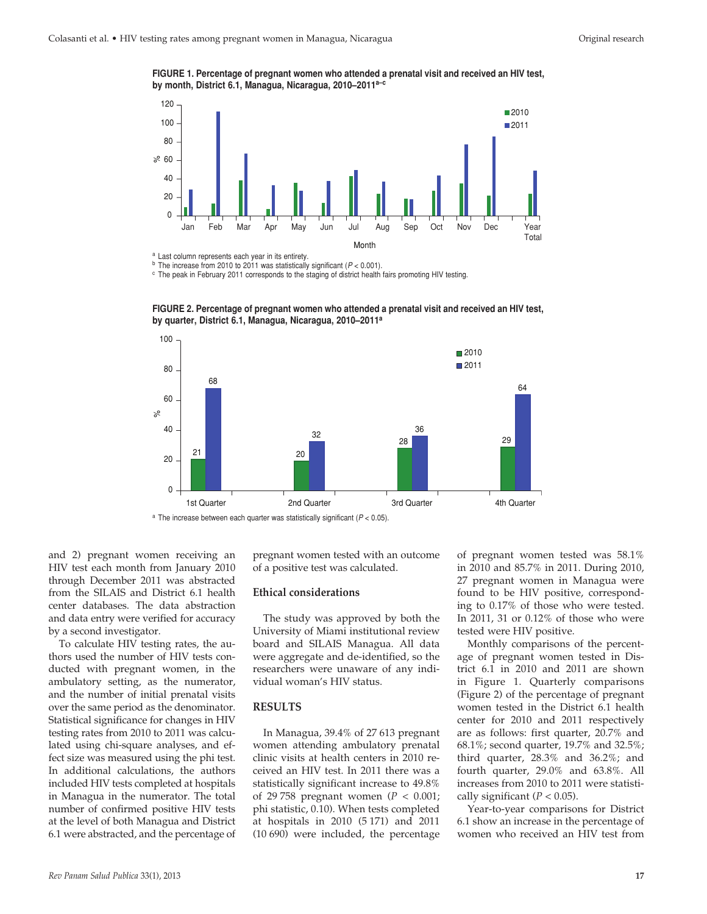**FIGURE 1. Percentage of pregnant women who attended a prenatal visit and received an HIV test, by month, District 6.1, Managua, Nicaragua, 2010–2011a–c**



<sup>a</sup> Last column represents each year in its entirety.<br><sup>b</sup> The increase from 2010 to 2011 was statistically significant ( $P < 0.001$ ).<br><sup>c</sup> The peak in February 2011 corresponds to the staging of district health fairs promot

**FIGURE 2. Percentage of pregnant women who attended a prenatal visit and received an HIV test, by quarter, District 6.1, Managua, Nicaragua, 2010–2011a**



and 2) pregnant women receiving an HIV test each month from January 2010 through December 2011 was abstracted from the SILAIS and District 6.1 health center databases. The data abstraction and data entry were verified for accuracy by a second investigator.

To calculate HIV testing rates, the authors used the number of HIV tests conducted with pregnant women, in the ambulatory setting, as the numerator, and the number of initial prenatal visits over the same period as the denominator. Statistical significance for changes in HIV testing rates from 2010 to 2011 was calculated using chi-square analyses, and effect size was measured using the phi test*.*  In additional calculations, the authors included HIV tests completed at hospitals in Managua in the numerator. The total number of confirmed positive HIV tests at the level of both Managua and District 6.1 were abstracted, and the percentage of

pregnant women tested with an outcome of a positive test was calculated.

#### **Ethical considerations**

The study was approved by both the University of Miami institutional review board and SILAIS Managua. All data were aggregate and de-identified, so the researchers were unaware of any individual woman's HIV status.

#### **RESULTS**

In Managua, 39.4% of 27 613 pregnant women attending ambulatory prenatal clinic visits at health centers in 2010 received an HIV test. In 2011 there was a statistically significant increase to 49.8% of 29 758 pregnant women (*p* < 0.001; phi statistic, 0.10). When tests completed at hospitals in 2010 (5 171) and 2011 (10 690) were included, the percentage

of pregnant women tested was 58.1% in 2010 and 85.7% in 2011. During 2010, 27 pregnant women in Managua were found to be HIV positive, corresponding to 0.17% of those who were tested. In 2011, 31 or 0.12% of those who were tested were HIV positive.

Monthly comparisons of the percentage of pregnant women tested in District 6.1 in 2010 and 2011 are shown in Figure 1. Quarterly comparisons (Figure 2) of the percentage of pregnant women tested in the District 6.1 health center for 2010 and 2011 respectively are as follows: first quarter, 20.7% and 68.1%; second quarter, 19.7% and 32.5%; third quarter, 28.3% and 36.2%; and fourth quarter, 29.0% and 63.8%. All increases from 2010 to 2011 were statistically significant  $(P < 0.05)$ .

Year-to-year comparisons for District 6.1 show an increase in the percentage of women who received an HIV test from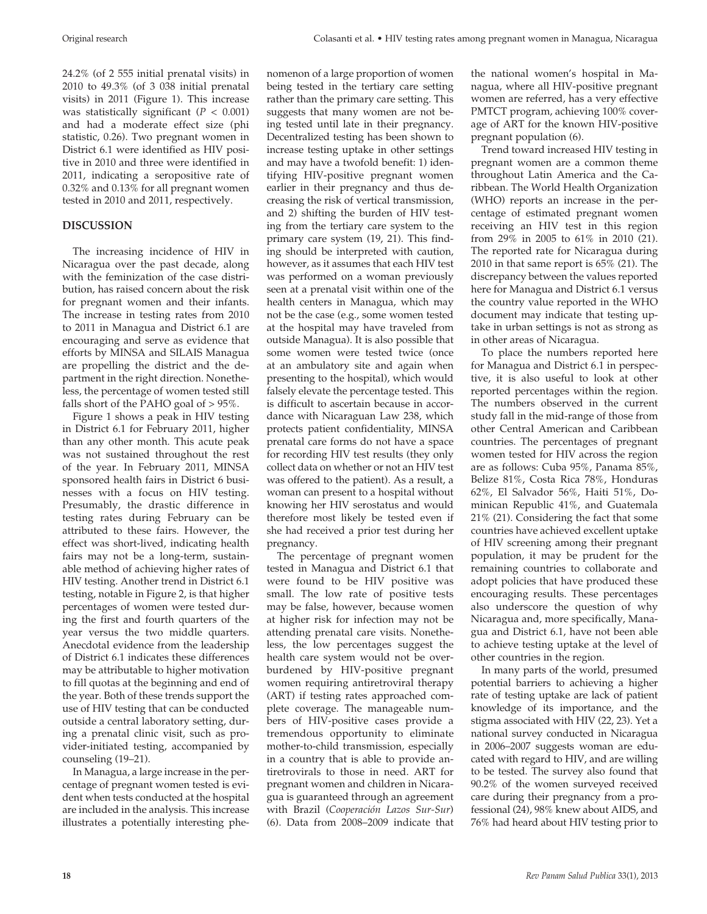24.2% (of 2 555 initial prenatal visits) in 2010 to 49.3% (of 3 038 initial prenatal visits) in 2011 (Figure 1). This increase was statistically significant  $(P < 0.001)$ and had a moderate effect size (phi statistic, 0.26). Two pregnant women in District 6.1 were identified as HIV positive in 2010 and three were identified in 2011, indicating a seropositive rate of 0.32% and 0.13% for all pregnant women tested in 2010 and 2011, respectively.

## **DISCUSSION**

The increasing incidence of HIV in Nicaragua over the past decade, along with the feminization of the case distribution, has raised concern about the risk for pregnant women and their infants. The increase in testing rates from 2010 to 2011 in Managua and District 6.1 are encouraging and serve as evidence that efforts by MINSA and SILAIS Managua are propelling the district and the department in the right direction. Nonetheless, the percentage of women tested still falls short of the PAHO goal of > 95%.

Figure 1 shows a peak in HIV testing in District 6.1 for February 2011, higher than any other month. This acute peak was not sustained throughout the rest of the year. In February 2011, MINSA sponsored health fairs in District 6 businesses with a focus on HIV testing. Presumably, the drastic difference in testing rates during February can be attributed to these fairs. However, the effect was short-lived, indicating health fairs may not be a long-term, sustainable method of achieving higher rates of HIV testing. Another trend in District 6.1 testing, notable in Figure 2, is that higher percentages of women were tested during the first and fourth quarters of the year versus the two middle quarters. Anecdotal evidence from the leadership of District 6.1 indicates these differences may be attributable to higher motivation to fill quotas at the beginning and end of the year. Both of these trends support the use of HIV testing that can be conducted outside a central laboratory setting, during a prenatal clinic visit, such as provider-initiated testing, accompanied by counseling (19–21).

In Managua, a large increase in the percentage of pregnant women tested is evident when tests conducted at the hospital are included in the analysis. This increase illustrates a potentially interesting phenomenon of a large proportion of women being tested in the tertiary care setting rather than the primary care setting. This suggests that many women are not being tested until late in their pregnancy. Decentralized testing has been shown to increase testing uptake in other settings and may have a twofold benefit: 1) identifying HIV-positive pregnant women earlier in their pregnancy and thus decreasing the risk of vertical transmission, and 2) shifting the burden of HIV testing from the tertiary care system to the primary care system (19, 21). This finding should be interpreted with caution, however, as it assumes that each HIV test was performed on a woman previously seen at a prenatal visit within one of the health centers in Managua, which may not be the case (e.g., some women tested at the hospital may have traveled from outside Managua). It is also possible that some women were tested twice (once at an ambulatory site and again when presenting to the hospital), which would falsely elevate the percentage tested. This is difficult to ascertain because in accordance with Nicaraguan Law 238, which protects patient confidentiality, MINSA prenatal care forms do not have a space for recording HIV test results (they only collect data on whether or not an HIV test was offered to the patient). As a result, a woman can present to a hospital without knowing her HIV serostatus and would therefore most likely be tested even if she had received a prior test during her pregnancy.

The percentage of pregnant women tested in Managua and District 6.1 that were found to be HIV positive was small. The low rate of positive tests may be false, however, because women at higher risk for infection may not be attending prenatal care visits. Nonetheless, the low percentages suggest the health care system would not be overburdened by HIV-positive pregnant women requiring antiretroviral therapy (ART) if testing rates approached complete coverage. The manageable numbers of HIV-positive cases provide a tremendous opportunity to eliminate mother-to-child transmission, especially in a country that is able to provide antiretrovirals to those in need. ART for pregnant women and children in Nicaragua is guaranteed through an agreement with Brazil (*Cooperación Lazos Sur-Sur*) (6). Data from 2008–2009 indicate that

the national women's hospital in Managua, where all HIV-positive pregnant women are referred, has a very effective PMTCT program, achieving 100% coverage of ART for the known HIV-positive pregnant population (6).

Trend toward increased HIV testing in pregnant women are a common theme throughout Latin America and the Caribbean. The World Health Organization (WHO) reports an increase in the percentage of estimated pregnant women receiving an HIV test in this region from 29% in 2005 to 61% in 2010 (21). The reported rate for Nicaragua during 2010 in that same report is 65% (21). The discrepancy between the values reported here for Managua and District 6.1 versus the country value reported in the WHO document may indicate that testing uptake in urban settings is not as strong as in other areas of Nicaragua.

To place the numbers reported here for Managua and District 6.1 in perspective, it is also useful to look at other reported percentages within the region. The numbers observed in the current study fall in the mid-range of those from other Central American and Caribbean countries. The percentages of pregnant women tested for HIV across the region are as follows: Cuba 95%, Panama 85%, Belize 81%, Costa Rica 78%, Honduras 62%, El Salvador 56%, Haiti 51%, Dominican Republic 41%, and Guatemala 21% (21). Considering the fact that some countries have achieved excellent uptake of HIV screening among their pregnant population, it may be prudent for the remaining countries to collaborate and adopt policies that have produced these encouraging results. These percentages also underscore the question of why Nicaragua and, more specifically, Managua and District 6.1, have not been able to achieve testing uptake at the level of other countries in the region.

In many parts of the world, presumed potential barriers to achieving a higher rate of testing uptake are lack of patient knowledge of its importance, and the stigma associated with HIV (22, 23). Yet a national survey conducted in Nicaragua in 2006–2007 suggests woman are educated with regard to HIV, and are willing to be tested. The survey also found that 90.2% of the women surveyed received care during their pregnancy from a professional (24), 98% knew about AIDS, and 76% had heard about HIV testing prior to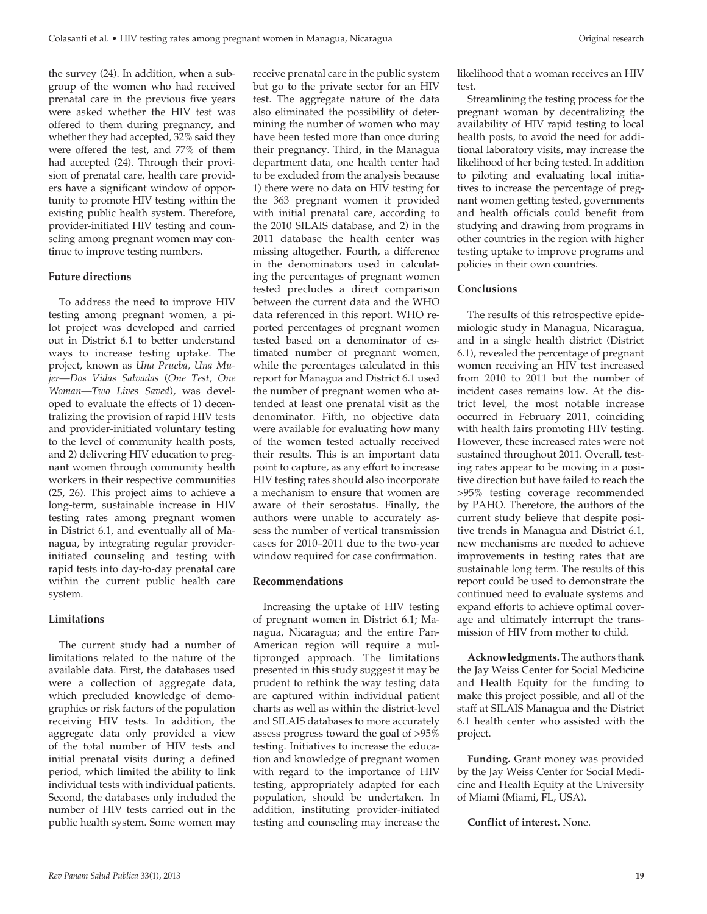the survey (24). In addition, when a subgroup of the women who had received prenatal care in the previous five years were asked whether the HIV test was offered to them during pregnancy, and whether they had accepted, 32% said they were offered the test, and 77% of them had accepted (24). Through their provision of prenatal care, health care providers have a significant window of opportunity to promote HIV testing within the existing public health system. Therefore, provider-initiated HIV testing and counseling among pregnant women may continue to improve testing numbers.

#### **Future directions**

To address the need to improve HIV testing among pregnant women, a pilot project was developed and carried out in District 6.1 to better understand ways to increase testing uptake. The project, known as *Una Prueba, Una Mujer—Dos Vidas Salvadas* (*One Test, One Woman—Two Lives Saved*), was developed to evaluate the effects of 1) decentralizing the provision of rapid HIV tests and provider-initiated voluntary testing to the level of community health posts, and 2) delivering HIV education to pregnant women through community health workers in their respective communities (25, 26). This project aims to achieve a long-term, sustainable increase in HIV testing rates among pregnant women in District 6.1, and eventually all of Managua, by integrating regular providerinitiated counseling and testing with rapid tests into day-to-day prenatal care within the current public health care system.

### **Limitations**

The current study had a number of limitations related to the nature of the available data. First, the databases used were a collection of aggregate data, which precluded knowledge of demographics or risk factors of the population receiving HIV tests. In addition, the aggregate data only provided a view of the total number of HIV tests and initial prenatal visits during a defined period, which limited the ability to link individual tests with individual patients. Second, the databases only included the number of HIV tests carried out in the public health system. Some women may receive prenatal care in the public system but go to the private sector for an HIV test. The aggregate nature of the data also eliminated the possibility of determining the number of women who may have been tested more than once during their pregnancy. Third, in the Managua department data, one health center had to be excluded from the analysis because 1) there were no data on HIV testing for the 363 pregnant women it provided with initial prenatal care, according to the 2010 SILAIS database, and 2) in the 2011 database the health center was missing altogether. Fourth, a difference in the denominators used in calculating the percentages of pregnant women tested precludes a direct comparison between the current data and the WHO data referenced in this report. WHO reported percentages of pregnant women tested based on a denominator of estimated number of pregnant women, while the percentages calculated in this report for Managua and District 6.1 used the number of pregnant women who attended at least one prenatal visit as the denominator. Fifth, no objective data were available for evaluating how many of the women tested actually received their results. This is an important data point to capture, as any effort to increase HIV testing rates should also incorporate a mechanism to ensure that women are aware of their serostatus. Finally, the authors were unable to accurately assess the number of vertical transmission cases for 2010–2011 due to the two-year window required for case confirmation.

#### **Recommendations**

Increasing the uptake of HIV testing of pregnant women in District 6.1; Managua, Nicaragua; and the entire Pan-American region will require a multipronged approach. The limitations presented in this study suggest it may be prudent to rethink the way testing data are captured within individual patient charts as well as within the district-level and SILAIS databases to more accurately assess progress toward the goal of >95% testing. Initiatives to increase the education and knowledge of pregnant women with regard to the importance of HIV testing, appropriately adapted for each population, should be undertaken. In addition, instituting provider-initiated testing and counseling may increase the

likelihood that a woman receives an HIV test.

Streamlining the testing process for the pregnant woman by decentralizing the availability of HIV rapid testing to local health posts, to avoid the need for additional laboratory visits, may increase the likelihood of her being tested. In addition to piloting and evaluating local initiatives to increase the percentage of pregnant women getting tested, governments and health officials could benefit from studying and drawing from programs in other countries in the region with higher testing uptake to improve programs and policies in their own countries.

#### **Conclusions**

The results of this retrospective epidemiologic study in Managua, Nicaragua, and in a single health district (District 6.1), revealed the percentage of pregnant women receiving an HIV test increased from 2010 to 2011 but the number of incident cases remains low. At the district level, the most notable increase occurred in February 2011, coinciding with health fairs promoting HIV testing. However, these increased rates were not sustained throughout 2011. Overall, testing rates appear to be moving in a positive direction but have failed to reach the >95% testing coverage recommended by PAHO. Therefore, the authors of the current study believe that despite positive trends in Managua and District 6.1, new mechanisms are needed to achieve improvements in testing rates that are sustainable long term. The results of this report could be used to demonstrate the continued need to evaluate systems and expand efforts to achieve optimal coverage and ultimately interrupt the transmission of HIV from mother to child.

**Acknowledgments.** The authors thank the Jay Weiss Center for Social Medicine and Health Equity for the funding to make this project possible, and all of the staff at SILAIS Managua and the District 6.1 health center who assisted with the project.

**Funding.** Grant money was provided by the Jay Weiss Center for Social Medicine and Health Equity at the University of Miami (Miami, FL, USA).

**Conflict of interest.** None.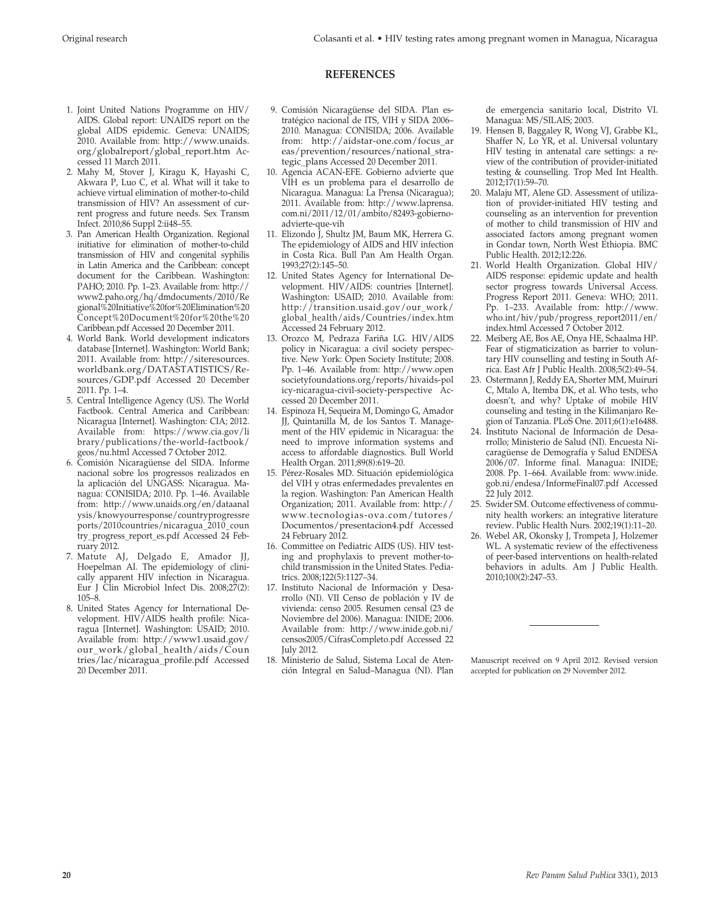#### **REFERENCES**

- 1. Joint United Nations Programme on HIV/ AIDS. Global report: UNAIDS report on the global AIDS epidemic. Geneva: UNAIDS; 2010. Available from: http://www.unaids. org/globalreport/global\_report.htm Accessed 11 March 2011.
- 2. Mahy M, Stover J, Kiragu K, Hayashi C, Akwara P, Luo C, et al. What will it take to achieve virtual elimination of mother-to-child transmission of HIV? An assessment of current progress and future needs. Sex Transm Infect. 2010;86 Suppl 2:ii48–55.
- 3. Pan American Health Organization. Regional initiative for elimination of mother-to-child transmission of HIV and congenital syphilis in Latin America and the Caribbean: concept document for the Caribbean. Washington: PAHO; 2010. Pp. 1–23. Available from: http:// www2.paho.org/hq/dmdocuments/2010/Re gional%20Initiative%20for%20Elimination%20 Concept%20Document%20for%20the%20 Caribbean.pdf Accessed 20 December 2011.
- 4. World Bank. World development indicators database [Internet]. Washington: World Bank; 2011. Available from: http://siteresources. worldbank.org/DATASTATISTICS/Resources/GDP.pdf Accessed 20 December 2011. Pp. 1–4.
- 5. Central Intelligence Agency (US). The World Factbook. Central America and Caribbean: Nicaragua [Internet]. Washington: CIA; 2012. Available from: https://www.cia.gov/li brary/publications/the-world-factbook/ geos/nu.html Accessed 7 October 2012.
- 6. Comisión Nicaragüense del SIDA. Informe nacional sobre los progressos realizados en la aplicación del UNGASS: Nicaragua. Managua: CONISIDA; 2010. Pp. 1–46. Available from: http://www.unaids.org/en/dataanal ysis/knowyourresponse/countryprogressre ports/2010countries/nicaragua\_2010\_coun try\_progress\_report\_es.pdf Accessed 24 February 2012.
- 7. Matute AJ, Delgado E, Amador JJ, Hoepelman AI. The epidemiology of clinically apparent HIV infection in Nicaragua. Eur J Clin Microbiol Infect Dis. 2008;27(2): 105–8.
- 8. United States Agency for International Development. HIV/AIDS health profile: Nicaragua [Internet]. Washington: USAID; 2010. Available from: http://www1.usaid.gov/ our\_work/global\_health/aids/Coun tries/lac/nicaragua\_profile.pdf Accessed 20 December 2011.
- 9. Comisión Nicaragüense del SIDA. Plan estratégico nacional de ITS, VIH y SIDA 2006– 2010. Managua: CONISIDA; 2006. Available from: http://aidstar-one.com/focus\_ar eas/prevention/resources/national\_strategic\_plans Accessed 20 December 2011.
- 10. Agencia ACAN-EFE. Gobierno advierte que VIH es un problema para el desarrollo de Nicaragua. Managua: La Prensa (Nicaragua); 2011. Available from: http://www.laprensa. com.ni/2011/12/01/ambito/82493-gobiernoadvierte-que-vih
- 11. Elizondo J, Shultz JM, Baum MK, Herrera G. The epidemiology of AIDS and HIV infection in Costa Rica. Bull Pan Am Health Organ. 1993;27(2):145–50.
- 12. United States Agency for International Development. HIV/AIDS: countries [Internet]. Washington: USAID; 2010. Available from: http://transition.usaid.gov/our\_work/ global\_health/aids/Countries/index.htm Accessed 24 February 2012.
- 13. Orozco M, Pedraza Fariña LG. HIV/AIDS policy in Nicaragua: a civil society perspective. New York: Open Society Institute; 2008. Pp. 1–46. Available from: http://www.open societyfoundations.org/reports/hivaids-pol icy-nicaragua-civil-society-perspective Accessed 20 December 2011.
- 14. Espinoza H, Sequeira M, Domingo G, Amador JJ, Quintanilla M, de los Santos T. Management of the HIV epidemic in Nicaragua: the need to improve information systems and access to affordable diagnostics. Bull World Health Organ. 2011;89(8):619–20.
- 15. Pérez-Rosales MD. Situación epidemiológica del VIH y otras enfermedades prevalentes en la region. Washington: Pan American Health Organization; 2011. Available from: http:// www.tecnologias-ova.com/tutores/ Documentos/presentacion4.pdf Accessed 24 February 2012.
- 16. Committee on Pediatric AIDS (US). HIV testing and prophylaxis to prevent mother-tochild transmission in the United States. Pediatrics. 2008;122(5):1127–34.
- 17. Instituto Nacional de Información y Desarrollo (NI). VII Censo de población y IV de vivienda: censo 2005. Resumen censal (23 de Noviembre del 2006). Managua: INIDE; 2006. Available from: http://www.inide.gob.ni/ censos2005/CifrasCompleto.pdf Accessed 22 July 2012.
- 18. Ministerio de Salud, Sistema Local de Atención Integral en Salud–Managua (NI). Plan

de emergencia sanitario local, Distrito VI. Managua: MS/SILAIS; 2003.

- 19. Hensen B, Baggaley R, Wong VJ, Grabbe KL, Shaffer N, Lo YR, et al. Universal voluntary HIV testing in antenatal care settings: a review of the contribution of provider-initiated testing & counselling. Trop Med Int Health. 2012;17(1):59–70.
- 20. Malaju MT, Alene GD. Assessment of utilization of provider-initiated HIV testing and counseling as an intervention for prevention of mother to child transmission of HIV and associated factors among pregnant women in Gondar town, North West Ethiopia. BMC Public Health. 2012;12:226.
- 21. World Health Organization. Global HIV/ AIDS response: epidemic update and health sector progress towards Universal Access. Progress Report 2011. Geneva: WHO; 2011. Pp. 1–233. Available from: http://www. who.int/hiv/pub/progress\_report2011/en/ index.html Accessed 7 October 2012.
- 22. Meiberg AE, Bos AE, Onya HE, Schaalma HP. Fear of stigmaticization as barrier to voluntary HIV counselling and testing in South Africa. East Afr J Public Health. 2008;5(2):49–54.
- 23. Ostermann J, Reddy EA, Shorter MM, Muiruri C, Mtalo A, Itemba DK, et al. Who tests, who doesn't, and why? Uptake of mobile HIV counseling and testing in the Kilimanjaro Region of Tanzania. PLoS One. 2011;6(1):e16488.
- 24. Instituto Nacional de Información de Desarrollo; Ministerio de Salud (NI). Encuesta Nicaragüense de Demografía y Salud ENDESA 2006/07. Informe final. Managua: INIDE; 2008. Pp. 1–664. Available from: www.inide. gob.ni/endesa/InformeFinal07.pdf Accessed 22 July 2012.
- 25. Swider SM. Outcome effectiveness of community health workers: an integrative literature review. Public Health Nurs. 2002;19(1):11–20.
- 26. Webel AR, Okonsky J, Trompeta J, Holzemer WL. A systematic review of the effectiveness of peer-based interventions on health-related behaviors in adults. Am J Public Health. 2010;100(2):247–53.

Manuscript received on 9 April 2012. Revised version accepted for publication on 29 November 2012.